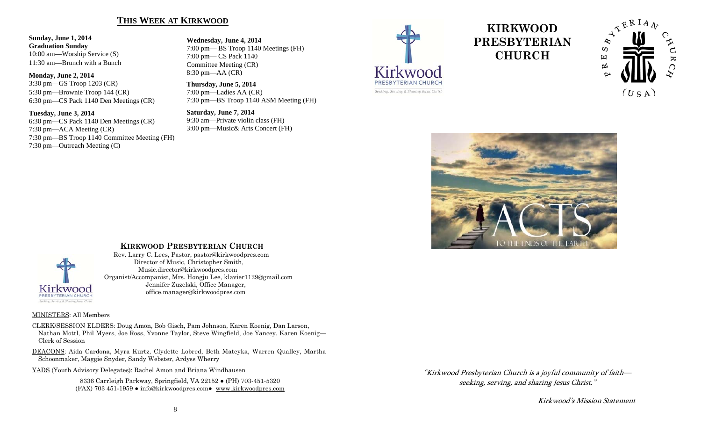## **THIS WEEK AT KIRKWOOD**

#### **Sunday, June 1, 2014 Graduation Sunday**  10:00 am—Worship Service (S) 11:30 am—Brunch with a Bunch

**Monday, June 2, 2014**  3:30 pm—GS Troop 1203 (CR) 5:30 pm—Brownie Troop 144 (CR) 6:30 pm—CS Pack 1140 Den Meetings (CR)

#### **Tuesday, June 3, 2014**

6:30 pm—CS Pack 1140 Den Meetings (CR) 7:30 pm—ACA Meeting (CR) 7:30 pm—BS Troop 1140 Committee Meeting (FH) 7:30 pm—Outreach Meeting (C)

**Wednesday, June 4, 2014**  7:00 pm— BS Troop 1140 Meetings (FH) 7:00 pm— CS Pack 1140 Committee Meeting (CR) 8:30 pm—AA (CR)

**Thursday, June 5, 2014**  7:00 pm—Ladies AA (CR) 7:30 pm—BS Troop 1140 ASM Meeting (FH)

**Saturday, June 7, 2014**  9:30 am—Private violin class (FH) 3:00 pm—Music& Arts Concert (FH)



# **KIRKWOOD PRESBYTERIAN CHURCH**







# **KIRKWOOD PRESBYTERIAN CHURCH**

 Rev. Larry C. Lees, Pastor, pastor@kirkwoodpres.com Director of Music, Christopher Smith, Music.director@kirkwoodpres.com Organist/Accompanist, Mrs. Hongju Lee, klavier1129@gmail.com Jennifer Zuzelski, Office Manager, office.manager@kirkwoodpres.com

#### MINISTERS: All Members

CLERK/SESSION ELDERS: Doug Amon, Bob Gisch, Pam Johnson, Karen Koenig, Dan Larson, Nathan Mottl, Phil Myers, Joe Ross, Yvonne Taylor, Steve Wingfield, Joe Yancey. Karen Koenig— Clerk of Session

DEACONS: Aida Cardona, Myra Kurtz, Clydette Lobred, Beth Mateyka, Warren Qualley, Martha Schoonmaker, Maggie Snyder, Sandy Webster, Ardyss Wherry

YADS (Youth Advisory Delegates): Rachel Amon and Briana Windhausen

8336 Carrleigh Parkway, Springfield, VA 22152 ● (PH) 703-451-5320 (FAX) 703 451-1959 ● info@kirkwoodpres.com● www.kirkwoodpres.com "Kirkwood Presbyterian Church is a joyful community of faith seeking, serving, and sharing Jesus Christ."

Kirkwood's Mission Statement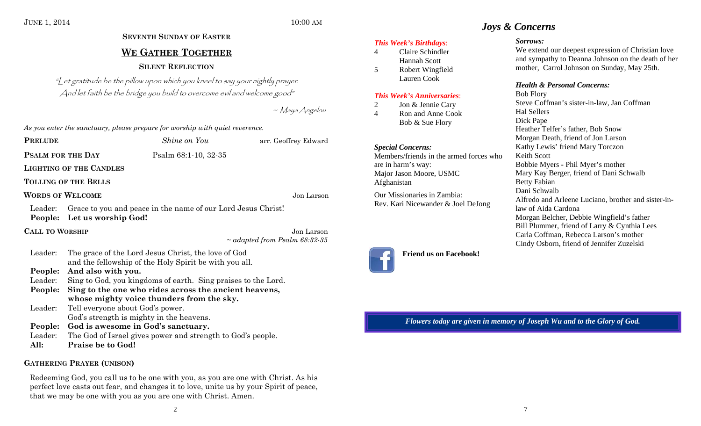# **SEVENTH SUNDAY OF EASTERWE GATHER TOGETHER SILENT REFLECTION**

"Let gratitude be the pillow upon which you kneel to say your nightly prayer. And let faith be the bridge you build to overcome evil and welcome good"

~ Maya Angelou

*As you enter the sanctuary, please prepare for worship with quiet reverence.* 

| <b>PRELUDE</b>                       |                                                               | <i>Shine</i> on You                                          | arr. Geoffrey Edward               |
|--------------------------------------|---------------------------------------------------------------|--------------------------------------------------------------|------------------------------------|
| <b>PSALM FOR THE DAY</b>             |                                                               | Psalm 68:1-10, 32-35                                         |                                    |
|                                      | <b>LIGHTING OF THE CANDLES</b>                                |                                                              |                                    |
|                                      | <b>TOLLING OF THE BELLS</b>                                   |                                                              |                                    |
| <b>WORDS OF WELCOME</b>              |                                                               |                                                              | Jon Larson                         |
| Leader:                              | People: Let us worship God!                                   | Grace to you and peace in the name of our Lord Jesus Christ! |                                    |
| <b>CALL TO WORSHIP</b><br>Jon Larson |                                                               |                                                              |                                    |
|                                      |                                                               |                                                              | $\sim$ adapted from Psalm 68:32-35 |
| Leader:                              | The grace of the Lord Jesus Christ, the love of God           |                                                              |                                    |
|                                      |                                                               | and the fellowship of the Holy Spirit be with you all.       |                                    |
| People:                              | And also with you.                                            |                                                              |                                    |
| Leader:                              | Sing to God, you kingdoms of earth. Sing praises to the Lord. |                                                              |                                    |
| People:                              | Sing to the one who rides across the ancient heavens,         |                                                              |                                    |
|                                      |                                                               | whose mighty voice thunders from the sky.                    |                                    |
| Leader:                              | Tell everyone about God's power.                              |                                                              |                                    |
|                                      |                                                               | God's strength is mighty in the heavens.                     |                                    |
| People:                              |                                                               | God is awesome in God's sanctuary.                           |                                    |
| Leader:                              |                                                               | The God of Israel gives power and strength to God's people.  |                                    |
| All:                                 | <b>Praise be to God!</b>                                      |                                                              |                                    |

## **GATHERING PRAYER (UNISON)**

Redeeming God, you call us to be one with you, as you are one with Christ. As his perfect love casts out fear, and changes it to love, unite us by your Spirit of peace, that we may be one with you as you are one with Christ. Amen.

- 4 Claire Schindler Hannah Scott
- 5 Robert Wingfield Lauren Cook

## *This Week's Anniversaries*:

2 Jon & Jennie Cary

4 Ron and Anne CookBob & Sue Flory

#### *Special Concerns:*  Members/friends in the armed forces who are in harm's way:

Major Jason Moore, USMC Afghanistan

Our Missionaries in Zambia: Rev. Kari Nicewander & Joel DeJong



# **Friend us on Facebook!**

# *Joys & Concerns*

## *Sorrows:*

We extend our deepest expression of Christian love and sympathy to Deanna Johnson on the death of her mother, Carrol Johnson on Sunday, May 25th.

## *Health & Personal Concerns:*

Bob Flory Steve Coffman's sister-in-law, Jan Coffman Hal Sellers Dick Pape Heather Telfer's father, Bob Snow Morgan Death, friend of Jon Larson Kathy Lewis' friend Mary Torczon Keith Scott Bobbie Myers - Phil Myer's mother Mary Kay Berger, friend of Dani Schwalb Betty Fabian Dani Schwalb Alfredo and Arleene Luciano, brother and sister-inlaw of Aida Cardona Morgan Belcher, Debbie Wingfield's father Bill Plummer, friend of Larry & Cynthia Lees Carla Coffman, Rebecca Larson's mother Cindy Osborn, friend of Jennifer Zuzelski

*Flowers today are given in memory of Joseph Wu and to the Glory of God.*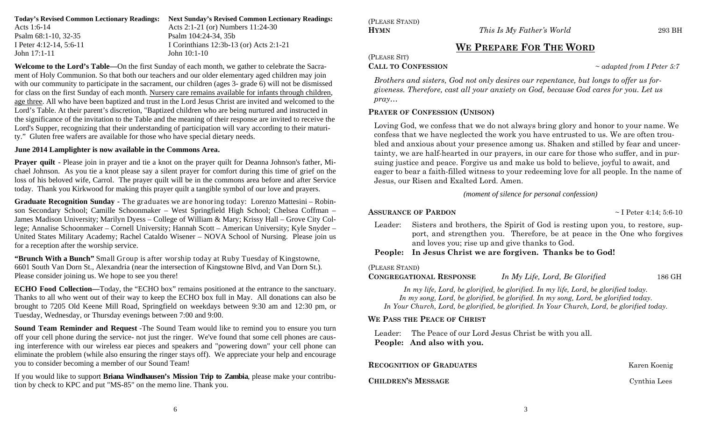| Todav's Revised Common Lectionary Readings: | <b>Next Sunday's Revised Common Lectionary Readings:</b> |
|---------------------------------------------|----------------------------------------------------------|
| Acts 1:6-14                                 | Acts 2:1-21 (or) Numbers 11:24-30                        |
| Psalm 68:1-10, 32-35                        | Psalm 104:24-34, 35b                                     |
| I Peter 4:12-14, 5:6-11                     | I Corinthians $12:3b-13$ (or) Acts $2:1-21$              |
| John 17:1-11                                | John $10:1-10$                                           |

**Welcome to the Lord's Table—**On the first Sunday of each month, we gather to celebrate the Sacrament of Holy Communion. So that both our teachers and our older elementary aged children may join with our community to participate in the sacrament, our children (ages 3- grade 6) will not be dismissed for class on the first Sunday of each month. Nursery care remains available for infants through children, age three. All who have been baptized and trust in the Lord Jesus Christ are invited and welcomed to the Lord's Table. At their parent's discretion, "Baptized children who are being nurtured and instructed in the significance of the invitation to the Table and the meaning of their response are invited to receive the Lord's Supper, recognizing that their understanding of participation will vary according to their maturity." Gluten free wafers are available for those who have special dietary needs.

#### **June 2014 Lamplighter is now available in the Commons Area.**

**Prayer quilt** - Please join in prayer and tie a knot on the prayer quilt for Deanna Johnson's father, Michael Johnson. As you tie a knot please say a silent prayer for comfort during this time of grief on the loss of his beloved wife, Carrol. The prayer quilt will be in the commons area before and after Service today. Thank you Kirkwood for making this prayer quilt a tangible symbol of our love and prayers.

**Graduate Recognition Sunday -** The graduates we are honoring today: Lorenzo Mattesini – Robinson Secondary School; Camille Schoonmaker – West Springfield High School; Chelsea Coffman – James Madison University; Marilyn Dyess – College of William & Mary; Krissy Hall – Grove City College; Annalise Schoonmaker – Cornell University; Hannah Scott – American University; Kyle Snyder – United States Military Academy; Rachel Cataldo Wisener – NOVA School of Nursing. Please join us for a reception after the worship service.

**"Brunch With a Bunch"** Small Group is after worship today at Ruby Tuesday of Kingstowne, 6601 South Van Dorn St., Alexandria (near the intersection of Kingstowne Blvd, and Van Dorn St.). Please consider joining us. We hope to see you there!

**ECHO Food Collection—Today, the "ECHO box" remains positioned at the entrance to the sanctuary.** Thanks to all who went out of their way to keep the ECHO box full in May. All donations can also be brought to 7205 Old Keene Mill Road, Springfield on weekdays between 9:30 am and 12:30 pm, or Tuesday, Wednesday, or Thursday evenings between 7:00 and 9:00.

**Sound Team Reminder and Request** -The Sound Team would like to remind you to ensure you turn off your cell phone during the service- not just the ringer. We've found that some cell phones are causing interference with our wireless ear pieces and speakers and "powering down" your cell phone can eliminate the problem (while also ensuring the ringer stays off). We appreciate your help and encourage you to consider becoming a member of our Sound Team!

If you would like to support **Briana Windhausen's Mission Trip to Zambia**, please make your contribution by check to KPC and put "MS-85" on the memo line. Thank you.

(PLEASE STAND) **HYMN**

*This Is My Father's World* 293 BH

# **WE PREPARE FOR THE WORD**

(PLEASE SIT)

**CALL TO CONFESSION**

<sup>~</sup>*adapted from I Peter 5:7*

*Brothers and sisters, God not only desires our repentance, but longs to offer us forgiveness. Therefore, cast all your anxiety on God, because God cares for you. Let us pray…* 

## **PRAYER OF CONFESSION (UNISON)**

Loving God, we confess that we do not always bring glory and honor to your name. We confess that we have neglected the work you have entrusted to us. We are often troubled and anxious about your presence among us. Shaken and stilled by fear and uncertainty, we are half-hearted in our prayers, in our care for those who suffer, and in pursuing justice and peace. Forgive us and make us bold to believe, joyful to await, and eager to bear a faith-filled witness to your redeeming love for all people. In the name of Jesus, our Risen and Exalted Lord. Amen.

*(moment of silence for personal confession)*

 $\sim$  I Peter 4:14; 5:6-10

Leader: Sisters and brothers, the Spirit of God is resting upon you, to restore, support, and strengthen you. Therefore, be at peace in the One who forgives and loves you; rise up and give thanks to God.

# **People: In Jesus Christ we are forgiven. Thanks be to God!**

(PLEASE STAND)

**ASSURANCE OF PARDON** 

**CONGREGATIONAL RESPONSE** *In My Life, Lord, Be Glorified* 186 GH

*In my life, Lord, be glorified, be glorified. In my life, Lord, be glorified today. In my song, Lord, be glorified, be glorified. In my song, Lord, be glorified today. In Your Church, Lord, be glorified, be glorified. In Your Church, Lord, be glorified today.* 

## **WE PASS THE PEACE OF CHRIST**

Leader: The Peace of our Lord Jesus Christ be with you all. **People: And also with you.**

| <b>RECOGNITION OF GRADUATES</b> | Karen Koenig |
|---------------------------------|--------------|
| <b>CHILDREN'S MESSAGE</b>       | Cynthia Lees |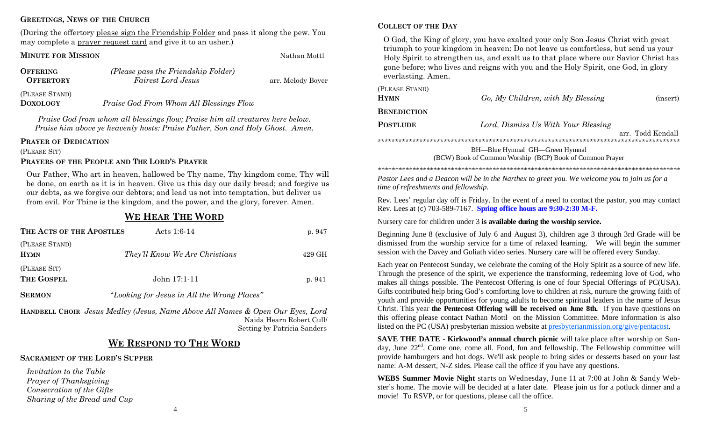### **GREETINGS, NEWS OF THE CHURCH**

(During the offertory please sign the Friendship Folder and pass it along the pew. You may complete a prayer request card and give it to an usher.)

#### **MINUTE FOR MISSION**

| OFFERING         | (Please pass the Friendship Folder) |                   |
|------------------|-------------------------------------|-------------------|
| <b>OFFERTORY</b> | <b>Fairest Lord Jesus</b>           | arr. Melody Boyer |
| (PLEASE STAND)   |                                     |                   |

**DOXOLOGY**

*Praise God From Whom All Blessings Flow* 

*Praise God from whom all blessings flow; Praise him all creatures here below. Praise him above ye heavenly hosts: Praise Father, Son and Holy Ghost. Amen.* 

#### **PRAYER OF DEDICATION**

(PLEASE SIT)

#### **PRAYERS OF THE PEOPLE AND THE LORD'S PRAYER**

Our Father, Who art in heaven, hallowed be Thy name, Thy kingdom come, Thy will be done, on earth as it is in heaven. Give us this day our daily bread; and forgive us our debts, as we forgive our debtors; and lead us not into temptation, but deliver us from evil. For Thine is the kingdom, and the power, and the glory, forever. Amen.

# **WE HEAR THE WORD**

| THE ACTS OF THE APOSTLES      | Acts $1:6-14$                  | p. 947 |
|-------------------------------|--------------------------------|--------|
| (PLEASE STAND)<br><b>HYMN</b> | They'll Know We Are Christians | 429 GH |
| (PLEASE SIT)<br>THE GOSPEL    | $John 17:1-11$                 | p. 941 |

**SERMON**"*Looking for Jesus in All the Wrong Places"*

**HANDBELL CHOIR** *Jesus Medley (Jesus, Name Above All Names & Open Our Eyes, Lord*  Naida Hearn Robert Cull/ Setting by Patricia Sanders

# **WE RESPOND TO THE WORD**

#### **SACRAMENT OF THE LORD'S SUPPER**

*Invitation to the Table Prayer of Thanksgiving Consecration of the Gifts Sharing of the Bread and Cup* 

### **COLLECT OF THE DAY**

Nathan Mottl

O God, the King of glory, you have exalted your only Son Jesus Christ with great triumph to your kingdom in heaven: Do not leave us comfortless, but send us your Holy Spirit to strengthen us, and exalt us to that place where our Savior Christ has gone before; who lives and reigns with you and the Holy Spirit, one God, in glory everlasting. Amen.

| (PLEASE STAND) |                                     |                   |
|----------------|-------------------------------------|-------------------|
| <b>HYMN</b>    | Go, My Children, with My Blessing   | (insert)          |
| BENEDICTION    |                                     |                   |
| POSTLUDE       | Lord, Dismiss Us With Your Blessing |                   |
|                |                                     | arr. Todd Kendall |
|                | BH—Blue Hymnal GH—Green Hymnal      |                   |

(BCW) Book of Common Worship (BCP) Book of Common Prayer

*\*\*\*\*\*\*\*\*\*\*\*\*\*\*\*\*\*\*\*\*\*\*\*\*\*\*\*\*\*\*\*\*\*\*\*\*\*\*\*\*\*\*\*\*\*\*\*\*\*\*\*\*\*\*\*\*\*\*\*\*\*\*\*\*\*\*\*\*\*\*\*\*\*\*\*\*\*\*\*\*\*\*\*\*\*\*\** 

*Pastor Lees and a Deacon will be in the Narthex to greet you. We welcome you to join us for a time of refreshments and fellowship.*

Rev. Lees' regular day off is Friday. In the event of a need to contact the pastor, you may contact Rev. Lees at (c) 703-589-7167. **Spring office hours are 9:30-2:30 M-F.**

Nursery care for children under 3 **is available during the worship service.** 

Beginning June 8 (exclusive of July 6 and August 3), children age 3 through 3rd Grade will be dismissed from the worship service for a time of relaxed learning. We will begin the summer session with the Davey and Goliath video series. Nursery care will be offered every Sunday.

Each year on Pentecost Sunday, we celebrate the coming of the Holy Spirit as a source of new life. Through the presence of the spirit, we experience the transforming, redeeming love of God, who makes all things possible. The Pentecost Offering is one of four Special Offerings of PC(USA). Gifts contributed help bring God's comforting love to children at risk, nurture the growing faith of youth and provide opportunities for young adults to become spiritual leaders in the name of Jesus Christ. This year **the Pentecost Offering will be received on June 8th.** If you have questions on this offering please contact Nathan Mottl on the Mission Committee. More information is also listed on the PC (USA) presbyterian mission website at presbyterianmission.org/give/pentacost.

**SAVE THE DATE - Kirkwood's annual church picnic** will take place after worship on Sunday, June  $22<sup>nd</sup>$ . Come one, come all. Food, fun and fellowship. The Fellowship committee will provide hamburgers and hot dogs. We'll ask people to bring sides or desserts based on your last name: A-M dessert, N-Z sides. Please call the office if you have any questions.

**WEBS Summer Movie Night** starts on Wednesday, June 11 at 7:00 at John & Sandy Webster's home. The movie will be decided at a later date. Please join us for a potluck dinner and a movie! To RSVP, or for questions, please call the office.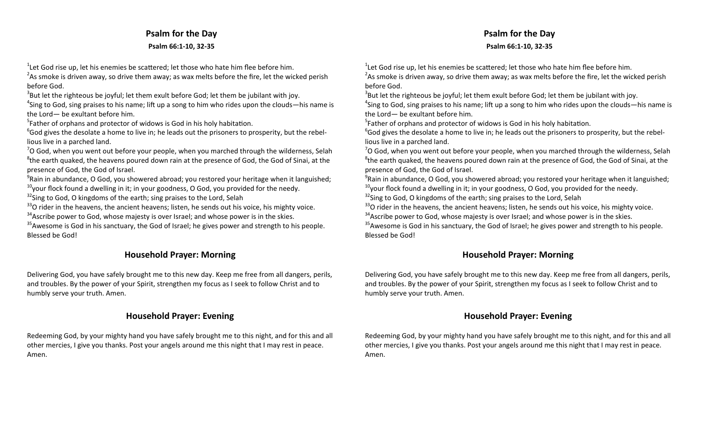# **Psalm for the Day Psalm 66:1‐10, 32‐35**

 $1$ Let God rise up, let his enemies be scattered; let those who hate him flee before him.

 $^{2}$ As smoke is driven away, so drive them away; as wax melts before the fire, let the wicked perish before God.

 $3$ But let the righteous be joyful; let them exult before God; let them be jubilant with joy.

<sup>4</sup>Sing to God, sing praises to his name; lift up a song to him who rides upon the clouds—his name is the Lord— be exultant before him.

 $5$ Father of orphans and protector of widows is God in his holy habitation.

 $66$  food gives the desolate a home to live in; he leads out the prisoners to prosperity, but the rebellious live in a parched land.

 $7$ O God, when you went out before your people, when you marched through the wilderness, Selah  $8$ the earth quaked, the heavens poured down rain at the presence of God, the God of Sinai, at the presence of God, the God of Israel.

 $9^9$ Rain in abundance, O God, you showered abroad; you restored your heritage when it languished;  $10$ <sub>your</sub> flock found a dwelling in it; in your goodness, O God, you provided for the needy.

 $32$ Sing to God, O kingdoms of the earth; sing praises to the Lord, Selah

 $33$ O rider in the heavens, the ancient heavens; listen, he sends out his voice, his mighty voice.

 $34$ Ascribe power to God, whose majesty is over Israel; and whose power is in the skies.

 $35$ Awesome is God in his sanctuary, the God of Israel; he gives power and strength to his people. Blessed be God!

# **Household Prayer: Morning**

Delivering God, you have safely brought me to this new day. Keep me free from all dangers, perils, and troubles. By the power of your Spirit, strengthen my focus as I seek to follow Christ and to humbly serve your truth. Amen.

# **Household Prayer: Evening**

Redeeming God, by your mighty hand you have safely brought me to this night, and for this and all other mercies, I give you thanks. Post your angels around me this night that I may rest in peace. Amen.

 $1$ Let God rise up, let his enemies be scattered; let those who hate him flee before him. <sup>2</sup>As smoke is driven away, so drive them away; as wax melts before the fire, let the wicked perish before God.

 $3$ But let the righteous be joyful; let them exult before God; let them be jubilant with joy.

 $4$ Sing to God, sing praises to his name; lift up a song to him who rides upon the clouds—his name is the Lord— be exultant before him.

 $5$ Father of orphans and protector of widows is God in his holy habitation.

 $66$  gives the desolate a home to live in; he leads out the prisoners to prosperity, but the rebellious live in a parched land.

 $7$ O God, when you went out before your people, when you marched through the wilderness, Selah  $8$ the earth quaked, the heavens poured down rain at the presence of God, the God of Sinai, at the presence of God, the God of Israel.

 $9^9$ Rain in abundance, O God, you showered abroad; you restored your heritage when it languished;  $10$ your flock found a dwelling in it; in your goodness, O God, you provided for the needy.

<sup>32</sup>Sing to God, O kingdoms of the earth; sing praises to the Lord, Selah

 $33$ O rider in the heavens, the ancient heavens; listen, he sends out his voice, his mighty voice.

 $34$ Ascribe power to God, whose majesty is over Israel; and whose power is in the skies.

<sup>35</sup> Awesome is God in his sanctuary, the God of Israel; he gives power and strength to his people. Blessed be God!

# **Household Prayer: Morning**

Delivering God, you have safely brought me to this new day. Keep me free from all dangers, perils, and troubles. By the power of your Spirit, strengthen my focus as I seek to follow Christ and to humbly serve your truth. Amen.

# **Household Prayer: Evening**

Redeeming God, by your mighty hand you have safely brought me to this night, and for this and all other mercies, I give you thanks. Post your angels around me this night that I may rest in peace. Amen.